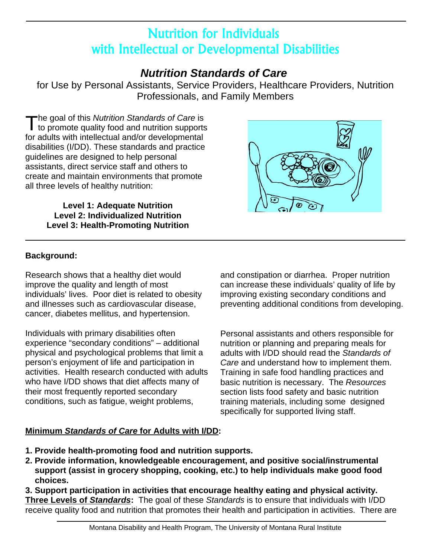# Nutrition for Individuals with Intellectual or Developmental Disabilities

## *Nutrition Standards of Care*

for Use by Personal Assistants, Service Providers, Healthcare Providers, Nutrition Professionals, and Family Members

The goal of this *Nutrition Standards of Care* is<br>to promote quality food and nutrition supports for adults with intellectual and/or developmental disabilities (I/DD). These standards and practice guidelines are designed to help personal assistants, direct service staff and others to create and maintain environments that promote all three levels of healthy nutrition:

> **Level 1: Adequate Nutrition Level 2: Individualized Nutrition Level 3: Health-Promoting Nutrition**



## **Background:**

Research shows that a healthy diet would and constipation or diarrhea. Proper nutrition improve the quality and length of most can increase these individuals' quality of life by individuals' lives. Poor diet is related to obesity improving existing secondary conditions and cancer, diabetes mellitus, and hypertension.

Individuals with primary disabilities often Personal assistants and others responsible for experience "secondary conditions" – additional nutrition or planning and preparing meals for physical and psychological problems that limit a adults with I/DD should read the *Standards of*  person's enjoyment of life and participation in *Care* and understand how to implement them. activities. Health research conducted with adults Training in safe food handling practices and who have I/DD shows that diet affects many of basic nutrition is necessary. The *Resources* their most frequently reported secondary section lists food safety and basic nutrition conditions, such as fatigue, weight problems, training materials, including some designed

and illnesses such as cardiovascular disease, preventing additional conditions from developing.

specifically for supported living staff.

## **Minimum** *Standards of Care* **for Adults with I/DD:**

- **1. Provide health-promoting food and nutrition supports.**
- **2. Provide information, knowledgeable encouragement, and positive social/instrumental support (assist in grocery shopping, cooking, etc.) to help individuals make good food choices.**

**3. Support participation in activities that encourage healthy eating and physical activity. Three Levels of** *Standards***:** The goal of these *Standards* is to ensure that individuals with I/DD receive quality food and nutrition that promotes their health and participation in activities. There are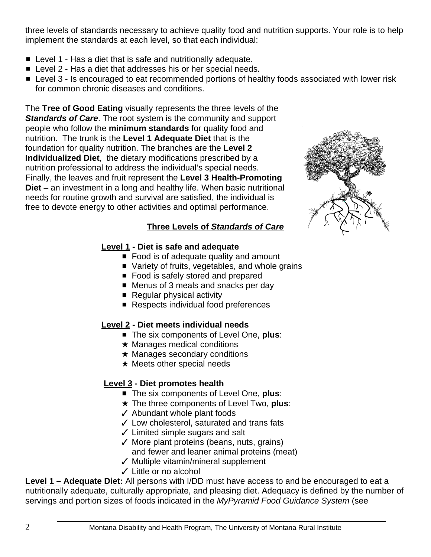three levels of standards necessary to achieve quality food and nutrition supports. Your role is to help implement the standards at each level, so that each individual:

- $\blacksquare$  Level 1 Has a diet that is safe and nutritionally adequate.
- Level 2 Has a diet that addresses his or her special needs.
- Level 3 Is encouraged to eat recommended portions of healthy foods associated with lower risk for common chronic diseases and conditions.

The **Tree of Good Eating** visually represents the three levels of the *Standards of Care*. The root system is the community and support people who follow the **minimum standards** for quality food and nutrition. The trunk is the **Level 1 Adequate Diet** that is the foundation for quality nutrition. The branches are the **Level 2 Individualized Diet**, the dietary modifications prescribed by a nutrition professional to address the individual's special needs. Finally, the leaves and fruit represent the **Level 3 Health-Promoting Diet** – an investment in a long and healthy life. When basic nutritional needs for routine growth and survival are satisfied, the individual is free to devote energy to other activities and optimal performance.



#### **Three Levels of** *Standards of Care*

#### **Level 1 - Diet is safe and adequate**

- $\blacksquare$  Food is of adequate quality and amount
- $\blacksquare$  Variety of fruits, vegetables, and whole grains
- Food is safely stored and prepared
- Menus of 3 meals and snacks per day
- $\blacksquare$  Regular physical activity
- Respects individual food preferences

## **Level 2 - Diet meets individual needs**

- The six components of Level One, **plus**:
- $\star$  Manages medical conditions
- $\star$  Manages secondary conditions
- $\star$  Meets other special needs

## **Level 3 - Diet promotes health**

- The six components of Level One, **plus**:
- **★ The three components of Level Two, plus:**
- $\checkmark$  Abundant whole plant foods
- $\checkmark$  Low cholesterol, saturated and trans fats
- $\checkmark$  Limited simple sugars and salt
- $\checkmark$  More plant proteins (beans, nuts, grains) and fewer and leaner animal proteins (meat)
- $\checkmark$  Multiple vitamin/mineral supplement
- $\checkmark$  Little or no alcohol

**Level 1 – Adequate Diet:** All persons with I/DD must have access to and be encouraged to eat a nutritionally adequate, culturally appropriate, and pleasing diet. Adequacy is defined by the number of servings and portion sizes of foods indicated in the *MyPyramid Food Guidance System* (see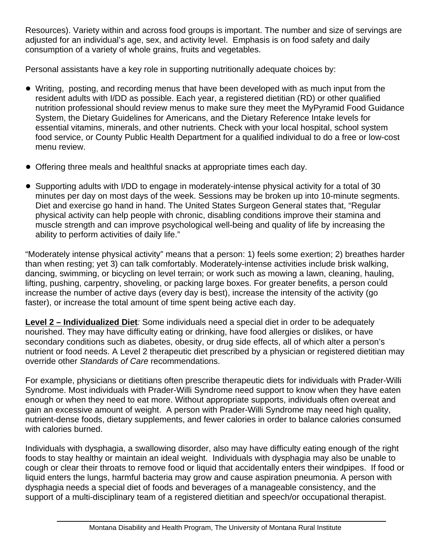Resources). Variety within and across food groups is important. The number and size of servings are adjusted for an individual's age, sex, and activity level. Emphasis is on food safety and daily consumption of a variety of whole grains, fruits and vegetables.

Personal assistants have a key role in supporting nutritionally adequate choices by:

- Writing, posting, and recording menus that have been developed with as much input from the resident adults with I/DD as possible. Each year, a registered dietitian (RD) or other qualified nutrition professional should review menus to make sure they meet the MyPyramid Food Guidance System, the Dietary Guidelines for Americans, and the Dietary Reference Intake levels for essential vitamins, minerals, and other nutrients. Check with your local hospital, school system food service, or County Public Health Department for a qualified individual to do a free or low-cost menu review.
- Offering three meals and healthful snacks at appropriate times each day.
- Supporting adults with I/DD to engage in moderately-intense physical activity for a total of 30 minutes per day on most days of the week. Sessions may be broken up into 10-minute segments. Diet and exercise go hand in hand. The United States Surgeon General states that, "Regular physical activity can help people with chronic, disabling conditions improve their stamina and muscle strength and can improve psychological well-being and quality of life by increasing the ability to perform activities of daily life."

"Moderately intense physical activity" means that a person: 1) feels some exertion; 2) breathes harder than when resting; yet 3) can talk comfortably. Moderately-intense activities include brisk walking, dancing, swimming, or bicycling on level terrain; or work such as mowing a lawn, cleaning, hauling, lifting, pushing, carpentry, shoveling, or packing large boxes. For greater benefits, a person could increase the number of active days (every day is best), increase the intensity of the activity (go faster), or increase the total amount of time spent being active each day.

**Level 2 – Individualized Diet***:* Some individuals need a special diet in order to be adequately nourished. They may have difficulty eating or drinking, have food allergies or dislikes, or have secondary conditions such as diabetes, obesity, or drug side effects, all of which alter a person's nutrient or food needs. A Level 2 therapeutic diet prescribed by a physician or registered dietitian may override other *Standards of Care* recommendations.

For example, physicians or dietitians often prescribe therapeutic diets for individuals with Prader-Willi Syndrome. Most individuals with Prader-Willi Syndrome need support to know when they have eaten enough or when they need to eat more. Without appropriate supports, individuals often overeat and gain an excessive amount of weight. A person with Prader-Willi Syndrome may need high quality, nutrient-dense foods, dietary supplements, and fewer calories in order to balance calories consumed with calories burned.

Individuals with dysphagia, a swallowing disorder, also may have difficulty eating enough of the right foods to stay healthy or maintain an ideal weight. Individuals with dysphagia may also be unable to cough or clear their throats to remove food or liquid that accidentally enters their windpipes. If food or liquid enters the lungs, harmful bacteria may grow and cause aspiration pneumonia. A person with dysphagia needs a special diet of foods and beverages of a manageable consistency, and the support of a multi-disciplinary team of a registered dietitian and speech/or occupational therapist.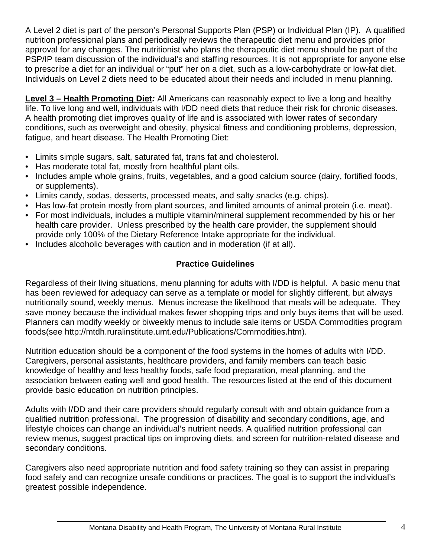A Level 2 diet is part of the person's Personal Supports Plan (PSP) or Individual Plan (IP). A qualified nutrition professional plans and periodically reviews the therapeutic diet menu and provides prior approval for any changes. The nutritionist who plans the therapeutic diet menu should be part of the PSP/IP team discussion of the individual's and staffing resources. It is not appropriate for anyone else to prescribe a diet for an individual or "put" her on a diet, such as a low-carbohydrate or low-fat diet. Individuals on Level 2 diets need to be educated about their needs and included in menu planning.

**Level 3 – Health Promoting Diet***:* All Americans can reasonably expect to live a long and healthy life. To live long and well, individuals with I/DD need diets that reduce their risk for chronic diseases. A health promoting diet improves quality of life and is associated with lower rates of secondary conditions, such as overweight and obesity, physical fitness and conditioning problems, depression, fatigue, and heart disease. The Health Promoting Diet:

- Limits simple sugars, salt, saturated fat, trans fat and cholesterol.
- Has moderate total fat, mostly from healthful plant oils.
- Includes ample whole grains, fruits, vegetables, and a good calcium source (dairy, fortified foods, or supplements).
- Limits candy, sodas, desserts, processed meats, and salty snacks (e.g. chips).
- Has low-fat protein mostly from plant sources, and limited amounts of animal protein (i.e. meat).
- For most individuals, includes a multiple vitamin/mineral supplement recommended by his or her health care provider. Unless prescribed by the health care provider, the supplement should provide only 100% of the Dietary Reference Intake appropriate for the individual.
- Includes alcoholic beverages with caution and in moderation (if at all).

## **Practice Guidelines**

Regardless of their living situations, menu planning for adults with I/DD is helpful. A basic menu that has been reviewed for adequacy can serve as a template or model for slightly different, but always nutritionally sound, weekly menus. Menus increase the likelihood that meals will be adequate. They save money because the individual makes fewer shopping trips and only buys items that will be used. Planners can modify weekly or biweekly menus to include sale items or USDA Commodities program foods(see http://mtdh.ruralinstitute.umt.edu/Publications/Commodities.htm).

Nutrition education should be a component of the food systems in the homes of adults with I/DD. Caregivers, personal assistants, healthcare providers, and family members can teach basic knowledge of healthy and less healthy foods, safe food preparation, meal planning, and the association between eating well and good health. The resources listed at the end of this document provide basic education on nutrition principles.

Adults with I/DD and their care providers should regularly consult with and obtain guidance from a qualified nutrition professional. The progression of disability and secondary conditions, age, and lifestyle choices can change an individual's nutrient needs. A qualified nutrition professional can review menus, suggest practical tips on improving diets, and screen for nutrition-related disease and secondary conditions.

Caregivers also need appropriate nutrition and food safety training so they can assist in preparing food safely and can recognize unsafe conditions or practices. The goal is to support the individual's greatest possible independence.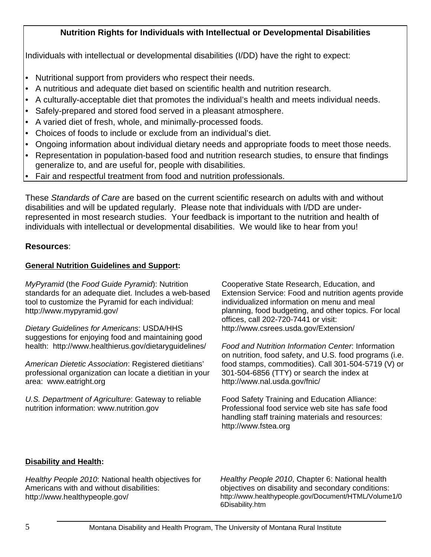### **Nutrition Rights for Individuals with Intellectual or Developmental Disabilities**

Individuals with intellectual or developmental disabilities (I/DD) have the right to expect:

- Nutritional support from providers who respect their needs.
- A nutritious and adequate diet based on scientific health and nutrition research.
- • A culturally-acceptable diet that promotes the individual's health and meets individual needs.
- Safely-prepared and stored food served in a pleasant atmosphere.
- A varied diet of fresh, whole, and minimally-processed foods.
- Choices of foods to include or exclude from an individual's diet.
- Ongoing information about individual dietary needs and appropriate foods to meet those needs.
- Representation in population-based food and nutrition research studies, to ensure that findings generalize to, and are useful for, people with disabilities.
- Fair and respectful treatment from food and nutrition professionals.

These *Standards of Care* are based on the current scientific research on adults with and without disabilities and will be updated regularly. Please note that individuals with I/DD are underrepresented in most research studies. Your feedback is important to the nutrition and health of individuals with intellectual or developmental disabilities. We would like to hear from you!

#### **Resources**:

#### **General Nutrition Guidelines and Support:**

*MyPyramid* (the *Food Guide Pyramid*): Nutrition standards for an adequate diet. Includes a web-based tool to customize the Pyramid for each individual: http://www.mypyramid.gov/

*Dietary Guidelines for Americans*: USDA/HHS suggestions for enjoying food and maintaining good health: http://www.healthierus.gov/dietaryguidelines/

*American Dietetic Association*: Registered dietitians' professional organization can locate a dietitian in your area: www.eatright.org

*U.S. Department of Agriculture*: Gateway to reliable nutrition information: www.nutrition.gov

Cooperative State Research, Education, and Extension Service: Food and nutrition agents provide individualized information on menu and meal planning, food budgeting, and other topics. For local offices, call 202-720-7441 or visit: http://www.csrees.usda.gov/Extension/

*Food and Nutrition Information Center*: Information on nutrition, food safety, and U.S. food programs (i.e. food stamps, commodities). Call 301-504-5719 (V) or 301-504-6856 (TTY) or search the index at http://www.nal.usda.gov/fnic/

Food Safety Training and Education Alliance: Professional food service web site has safe food handling staff training materials and resources: http://www.fstea.org

#### **Disability and Health:**

*Healthy People 2010*: National health objectives for Americans with and without disabilities: http://www.healthypeople.gov/

*Healthy People 2010*, Chapter 6: National health objectives on disability and secondary conditions: http://www.healthypeople.gov/Document/HTML/Volume1/0 6Disability.htm